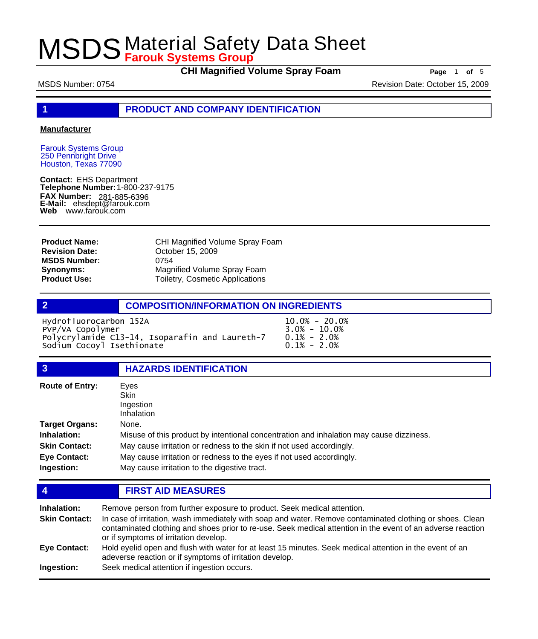**CHI Magnified Volume Spray Foam Page** 1 of 5

MSDS Number: 0754 **Revision Date: October 15, 2009** Revision Date: October 15, 2009

**1 PRODUCT AND COMPANY IDENTIFICATION**

#### **Manufacturer**

Farouk Systems Group 250 Pennbright Drive Houston, Texas 77090

**Contact:** EHS Department **Telephone Number:** 1-800-237-9175 **FAX Number: FAX Number:** 281-885-6396<br>**E-Mail:** ehsdept@farouk.com **Web** www.farouk.com

**Product Name: Revision Date: MSDS Number: Synonyms: Product Use:**

CHI Magnified Volume Spray Foam October 15, 2009 0754 Magnified Volume Spray Foam Toiletry, Cosmetic Applications

#### **2 COMPOSITION/INFORMATION ON INGREDIENTS**

Hydrofluorocarbon 152A 10.0% - 20.0%<br>PVP/VA Copolymer 3.0% - 10.0%<br>Polycrylamide C13-14, Isoparafin and Laureth-7 0.1% - 2.0% PVP/VA Copolymer Polycrylamide C13-14, Isoparafin and Laureth-7 0.1% - 2.0%<br>Sodium Cocoyl Isethionate 0.1% - 2.0% Sodium Cocoyl Isethionate

| $\overline{3}$                                                                      | <b>HAZARDS IDENTIFICATION</b>                                                                                                                                                                                                                                                                    |
|-------------------------------------------------------------------------------------|--------------------------------------------------------------------------------------------------------------------------------------------------------------------------------------------------------------------------------------------------------------------------------------------------|
| <b>Route of Entry:</b>                                                              | Eves<br><b>Skin</b><br>Ingestion<br>Inhalation                                                                                                                                                                                                                                                   |
| Target Organs:<br>Inhalation:<br><b>Skin Contact:</b><br>Eye Contact:<br>Ingestion: | None.<br>Misuse of this product by intentional concentration and inhalation may cause dizziness.<br>May cause irritation or redness to the skin if not used accordingly.<br>May cause irritation or redness to the eyes if not used accordingly.<br>May cause irritation to the digestive tract. |

| $\overline{4}$       | <b>FIRST AID MEASURES</b>                                                                                                                                                                                                                                         |  |
|----------------------|-------------------------------------------------------------------------------------------------------------------------------------------------------------------------------------------------------------------------------------------------------------------|--|
| <b>Inhalation:</b>   | Remove person from further exposure to product. Seek medical attention.                                                                                                                                                                                           |  |
| <b>Skin Contact:</b> | In case of irritation, wash immediately with soap and water. Remove contaminated clothing or shoes. Clean<br>contaminated clothing and shoes prior to re-use. Seek medical attention in the event of an adverse reaction<br>or if symptoms of irritation develop. |  |
| Eye Contact:         | Hold eyelid open and flush with water for at least 15 minutes. Seek medical attention in the event of an<br>adeverse reaction or if symptoms of irritation develop.                                                                                               |  |
| Ingestion:           | Seek medical attention if ingestion occurs.                                                                                                                                                                                                                       |  |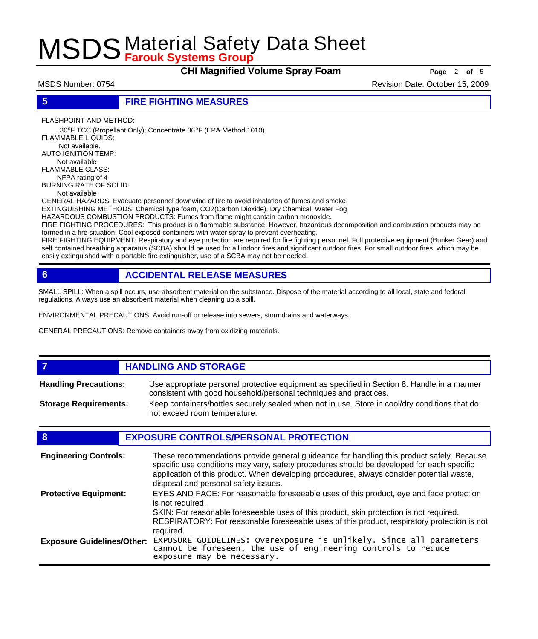**CHI Magnified Volume Spray Foam Page** <sup>2</sup> **of** <sup>5</sup>

MSDS Number: 0754 **All and 2009** Revision Date: October 15, 2009

**5 FIRE FIGHTING MEASURES**

FLASHPOINT AND METHOD:

 -30ºF TCC (Propellant Only); Concentrate 36ºF (EPA Method 1010) FLAMMABLE LIQUIDS: Not available. AUTO IGNITION TEMP: Not available FLAMMABLE CLASS: NFPA rating of 4 BURNING RATE OF SOLID: Not available

GENERAL HAZARDS: Evacuate personnel downwind of fire to avoid inhalation of fumes and smoke.

EXTINGUISHING METHODS: Chemical type foam, CO2(Carbon Dioxide), Dry Chemical, Water Fog HAZARDOUS COMBUSTION PRODUCTS: Fumes from flame might contain carbon monoxide.

FIRE FIGHTING PROCEDURES: This product is a flammable substance. However, hazardous decomposition and combustion products may be formed in a fire situation. Cool exposed containers with water spray to prevent overheating.

FIRE FIGHTING EQUIPMENT: Respiratory and eye protection are required for fire fighting personnel. Full protective equipment (Bunker Gear) and self contained breathing apparatus (SCBA) should be used for all indoor fires and significant outdoor fires. For small outdoor fires, which may be easily extinguished with a portable fire extinguisher, use of a SCBA may not be needed.

# **6 ACCIDENTAL RELEASE MEASURES**

SMALL SPILL: When a spill occurs, use absorbent material on the substance. Dispose of the material according to all local, state and federal regulations. Always use an absorbent material when cleaning up a spill.

ENVIRONMENTAL PRECAUTIONS: Avoid run-off or release into sewers, stormdrains and waterways.

GENERAL PRECAUTIONS: Remove containers away from oxidizing materials.

#### *HANDLING AND STORAGE* Use appropriate personal protective equipment as specified in Section 8. Handle in a manner consistent with good household/personal techniques and practices. **Handling Precautions:** Keep containers/bottles securely sealed when not in use. Store in cool/dry conditions that do not exceed room temperature. **Storage Requirements:**

### **8 EXPOSURE CONTROLS/PERSONAL PROTECTION**

| <b>Engineering Controls:</b>      | These recommendations provide general guideance for handling this product safely. Because<br>specific use conditions may vary, safety procedures should be developed for each specific<br>application of this product. When developing procedures, always consider potential waste,<br>disposal and personal safety issues. |
|-----------------------------------|-----------------------------------------------------------------------------------------------------------------------------------------------------------------------------------------------------------------------------------------------------------------------------------------------------------------------------|
| <b>Protective Equipment:</b>      | EYES AND FACE: For reasonable foreseeable uses of this product, eye and face protection<br>is not required.<br>SKIN: For reasonable foreseeable uses of this product, skin protection is not required.<br>RESPIRATORY: For reasonable foreseeable uses of this product, respiratory protection is not                       |
| <b>Exposure Guidelines/Other:</b> | required.<br>EXPOSURE GUIDELINES: Overexposure is unlikely. Since all parameters<br>cannot be foreseen, the use of engineering controls to reduce<br>exposure may be necessary.                                                                                                                                             |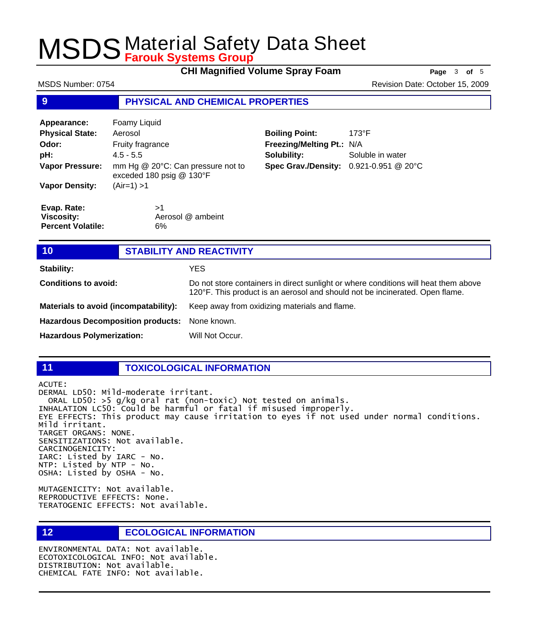**CHI Magnified Volume Spray Foam** Page 3 of 5

| MSDS Number: 0754 | Revision Date: October 15, 2009 |
|-------------------|---------------------------------|
|                   |                                 |

## **9 PHYSICAL AND CHEMICAL PROPERTIES**

| Appearance:                       | Foamy Liquid                                                    |                                        |                  |
|-----------------------------------|-----------------------------------------------------------------|----------------------------------------|------------------|
| <b>Physical State:</b><br>Aerosol |                                                                 | <b>Boiling Point:</b>                  | $173^{\circ}F$   |
| Odor:                             | Fruity fragrance                                                | Freezing/Melting Pt.: N/A              |                  |
| pH:                               | $4.5 - 5.5$                                                     | Solubility:                            | Soluble in water |
| <b>Vapor Pressure:</b>            | mm Hg @ 20°C: Can pressure not to<br>exceded 180 psig $@$ 130°F | Spec Grav./Density: 0.921-0.951 @ 20°C |                  |
| <b>Vapor Density:</b>             | $(Air=1) > 1$                                                   |                                        |                  |
| Evap. Rate:                       | >1                                                              |                                        |                  |
| <b>Viscosity:</b>                 | Aerosol @ ambeint                                               |                                        |                  |
| <b>Percent Volatile:</b>          | 6%                                                              |                                        |                  |

| 10                                       | <b>STABILITY AND REACTIVITY</b> |                                                                                                                                                                     |
|------------------------------------------|---------------------------------|---------------------------------------------------------------------------------------------------------------------------------------------------------------------|
| <b>Stability:</b>                        |                                 | YES                                                                                                                                                                 |
| <b>Conditions to avoid:</b>              |                                 | Do not store containers in direct sunlight or where conditions will heat them above<br>120°F. This product is an aerosol and should not be incinerated. Open flame. |
| Materials to avoid (incompatability):    |                                 | Keep away from oxidizing materials and flame.                                                                                                                       |
| <b>Hazardous Decomposition products:</b> |                                 | None known.                                                                                                                                                         |
| <b>Hazardous Polymerization:</b>         |                                 | Will Not Occur.                                                                                                                                                     |

### **11 TOXICOLOGICAL INFORMATION**

ACUTE:

DERMAL LD50: Mild-moderate irritant. ORAL LD50: >5 g/kg oral rat (non-toxic) Not tested on animals. INHALATION LC50: Could be harmful or fatal if misused improperly. EYE EFFECTS: This product may cause irritation to eyes if not used under normal conditions. Mild irritant. TARGET ORGANS: NONE. SENSITIZATIONS: Not available. CARCINOGENICITY: IARC: Listed by IARC - No. NTP: Listed by NTP - No. OSHA: Listed by OSHA - No.

MUTAGENICITY: Not available. REPRODUCTIVE EFFECTS: None. TERATOGENIC EFFECTS: Not available.

### **12 ECOLOGICAL INFORMATION**

ENVIRONMENTAL DATA: Not available. ECOTOXICOLOGICAL INFO: Not available. DISTRIBUTION: Not available. CHEMICAL FATE INFO: Not available.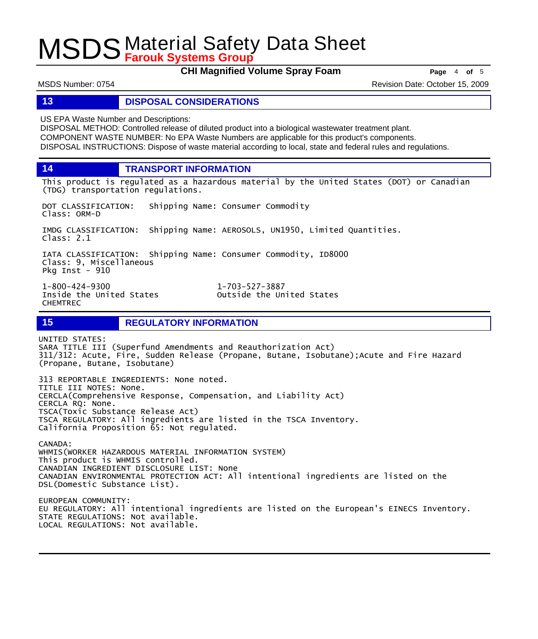**CHI Magnified Volume Spray Foam Page** <sup>4</sup> **of** <sup>5</sup>

MSDS Number: 0754 **Alternative Controllers and Controllers** Revision Date: October 15, 2009

#### **13 DISPOSAL CONSIDERATIONS**

US EPA Waste Number and Descriptions:

DISPOSAL METHOD: Controlled release of diluted product into a biological wastewater treatment plant. COMPONENT WASTE NUMBER: No EPA Waste Numbers are applicable for this product's components. DISPOSAL INSTRUCTIONS: Dispose of waste material according to local, state and federal rules and regulations.

**14 TRANSPORT INFORMATION**

This product is regulated as a hazardous material by the United States (DOT) or Canadian (TDG) transportation regulations.

DOT CLASSIFICATION: Shipping Name: Consumer Commodity Class: ORM-D

IMDG CLASSIFICATION: Shipping Name: AEROSOLS, UN1950, Limited Quantities. Class: 2.1

IATA CLASSIFICATION: Shipping Name: Consumer Commodity, ID8000 Class: 9, Miscellaneous Pkg Inst - 910

Inside the United States CHEMTREC

1-800-424-9300 1-703-527-3887

**15 REGULATORY INFORMATION**

UNITED STATES: SARA TITLE III (Superfund Amendments and Reauthorization Act) 311/312: Acute, Fire, Sudden Release (Propane, Butane, Isobutane);Acute and Fire Hazard (Propane, Butane, Isobutane)

313 REPORTABLE INGREDIENTS: None noted. TITLE III NOTES: None. CERCLA(Comprehensive Response, Compensation, and Liability Act) CERCLA RQ: None. TSCA(Toxic Substance Release Act) TSCA REGULATORY: All ingredients are listed in the TSCA Inventory. California Proposition 65: Not regulated.

CANADA: WHMIS(WORKER HAZARDOUS MATERIAL INFORMATION SYSTEM) This product is WHMIS controlled. CANADIAN INGREDIENT DISCLOSURE LIST: None CANADIAN ENVIRONMENTAL PROTECTION ACT: All intentional ingredients are listed on the DSL(Domestic Substance List). EUROPEAN COMMUNITY:

EU REGULATORY: All intentional ingredients are listed on the European's EINECS Inventory. STATE REGULATIONS: Not available. LOCAL REGULATIONS: Not available.